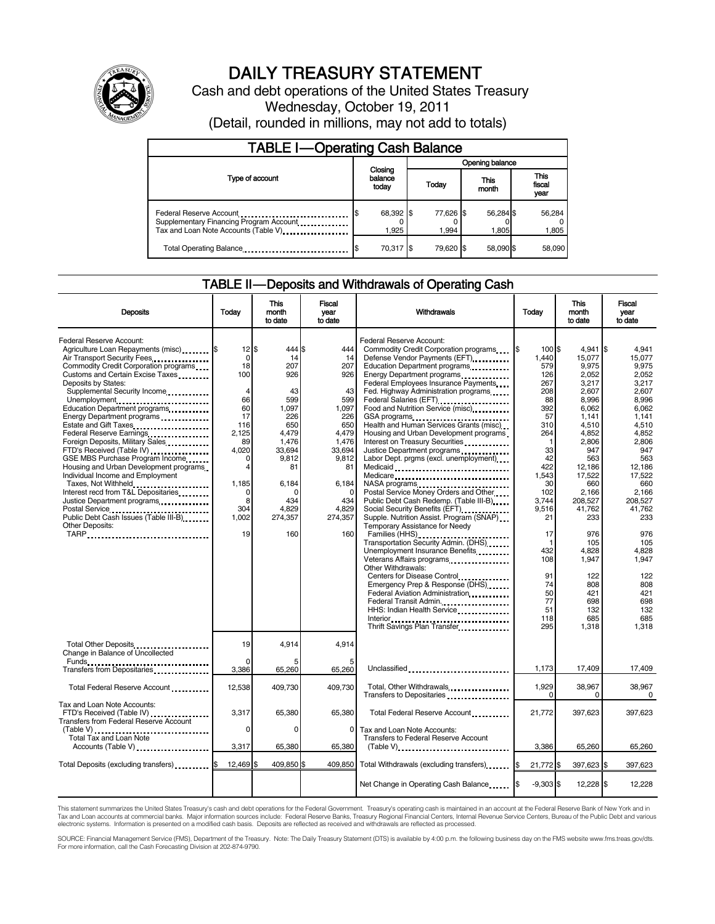

# DAILY TREASURY STATEMENT

Cash and debt operations of the United States Treasury Wednesday, October 19, 2011 (Detail, rounded in millions, may not add to totals)

| <b>TABLE I-Operating Cash Balance</b>                                                                       |                             |                    |  |                    |               |                    |  |                               |
|-------------------------------------------------------------------------------------------------------------|-----------------------------|--------------------|--|--------------------|---------------|--------------------|--|-------------------------------|
|                                                                                                             |                             |                    |  | Opening balance    |               |                    |  |                               |
| Type of account                                                                                             | Closing<br>balance<br>today |                    |  | Today              | This<br>month |                    |  | <b>This</b><br>fiscal<br>year |
| Federal Reserve Account<br>Supplementary Financing Program Account<br>Tax and Loan Note Accounts (Table V). |                             | 68,392 \$<br>1.925 |  | 77,626 \$<br>1.994 |               | 56,284 \$<br>1.805 |  | 56,284<br>1,805               |
| Total Operating Balance                                                                                     |                             | 70,317 \$          |  | 79.620 \$          |               | 58.090 \$          |  | 58,090                        |

#### TABLE II — Deposits and Withdrawals of Operating Cash

| <b>Deposits</b>                                                                                                                                                                                                                                                                                                                                                                                                                                                               | Todav                                                                                                                  | <b>This</b><br>month<br>to date                                                                     | <b>Fiscal</b><br>vear<br>to date                                                                 | Withdrawals                                                                                                                                                                                                                                                                                                                                                                                                                                                                                             | Today                                                                                                    | <b>This</b><br>month<br>to date                                                                                              | <b>Fiscal</b><br>vear<br>to date                                                                                        |
|-------------------------------------------------------------------------------------------------------------------------------------------------------------------------------------------------------------------------------------------------------------------------------------------------------------------------------------------------------------------------------------------------------------------------------------------------------------------------------|------------------------------------------------------------------------------------------------------------------------|-----------------------------------------------------------------------------------------------------|--------------------------------------------------------------------------------------------------|---------------------------------------------------------------------------------------------------------------------------------------------------------------------------------------------------------------------------------------------------------------------------------------------------------------------------------------------------------------------------------------------------------------------------------------------------------------------------------------------------------|----------------------------------------------------------------------------------------------------------|------------------------------------------------------------------------------------------------------------------------------|-------------------------------------------------------------------------------------------------------------------------|
| Federal Reserve Account:<br>Agriculture Loan Repayments (misc) [\$<br>Air Transport Security Fees<br>Commodity Credit Corporation programs<br>Customs and Certain Excise Taxes<br>Deposits by States:<br>Supplemental Security Income<br>Unemployment<br>Education Department programs<br>Energy Department programs<br>Estate and Gift Taxes<br>Federal Reserve Earnings<br>Foreign Deposits, Military Sales<br>FTD's Received (Table IV)<br>GSE MBS Purchase Program Income | $12$ $\frac{1}{3}$<br>$\mathbf 0$<br>18<br>100<br>$\overline{4}$<br>66<br>60<br>17<br>116<br>2,125<br>89<br>4.020<br>O | 444 \$<br>14<br>207<br>926<br>43<br>599<br>1.097<br>226<br>650<br>4,479<br>1,476<br>33,694<br>9,812 | 444<br>14<br>207<br>926<br>43<br>599<br>1,097<br>226<br>650<br>4,479<br>1,476<br>33,694<br>9,812 | Federal Reserve Account:<br>Commodity Credit Corporation programs<br>Defense Vendor Payments (EFT)<br>Education Department programs<br>Energy Department programs<br>Federal Employees Insurance Payments<br>Fed. Highway Administration programs<br>Food and Nutrition Service (misc)<br>GSA programs<br>Health and Human Services Grants (misc)<br>Housing and Urban Development programs<br>Interest on Treasury Securities<br>Justice Department programs<br>Labor Dept. prgms (excl. unemployment) | $100$ $\text{S}$<br>1.440<br>579<br>126<br>267<br>208<br>88<br>392<br>57<br>310<br>264<br>-1<br>33<br>42 | $4,941$ \$<br>15,077<br>9,975<br>2,052<br>3.217<br>2,607<br>8,996<br>6,062<br>1,141<br>4,510<br>4,852<br>2,806<br>947<br>563 | 4,941<br>15.077<br>9.975<br>2.052<br>3.217<br>2,607<br>8.996<br>6.062<br>1.141<br>4,510<br>4,852<br>2,806<br>947<br>563 |
| Housing and Urban Development programs<br>Individual Income and Employment<br>Taxes, Not Withheld<br>Interest recd from T&L Depositaries<br>Justice Department programs<br>Public Debt Cash Issues (Table III-B)<br>Other Deposits:<br>TARP                                                                                                                                                                                                                                   | 4<br>1,185<br>$\Omega$<br>8<br>304<br>1,002<br>19                                                                      | 81<br>6,184<br>n<br>434<br>4,829<br>274,357<br>160                                                  | 81<br>6,184<br>$\Omega$<br>434<br>4,829<br>274,357<br>160                                        | Medicaid<br>Medicare<br>Postal Service Money Orders and Other<br>Public Debt Cash Redemp. (Table III-B)<br>Social Security Benefits (EFT)<br>Supple. Nutrition Assist. Program (SNAP)<br>Temporary Assistance for Needy<br>Transportation Security Admin. (DHS)                                                                                                                                                                                                                                         | 422<br>1,543<br>30<br>102<br>3,744<br>9,516<br>21<br>17<br>1                                             | 12,186<br>17,522<br>660<br>2,166<br>208,527<br>41,762<br>233<br>976<br>105                                                   | 12,186<br>17.522<br>660<br>2.166<br>208,527<br>41.762<br>233<br>976<br>105                                              |
|                                                                                                                                                                                                                                                                                                                                                                                                                                                                               |                                                                                                                        |                                                                                                     |                                                                                                  | Unemployment Insurance Benefits<br>Veterans Affairs programs<br>Other Withdrawals:<br>Centers for Disease Control<br>Emergency Prep & Response (DHS)<br>Federal Aviation Administration<br>Federal Transit Admin.<br>HHS: Indian Health Service<br>Interior<br>.<br>Thrift Savings Plan Transfer                                                                                                                                                                                                        | 432<br>108<br>91<br>74<br>50<br>77<br>51<br>118<br>295                                                   | 4,828<br>1,947<br>122<br>808<br>421<br>698<br>132<br>685<br>1,318                                                            | 4,828<br>1,947<br>122<br>808<br>421<br>698<br>132<br>685<br>1,318                                                       |
| Total Other Deposits<br>Change in Balance of Uncollected<br>Funds                                                                                                                                                                                                                                                                                                                                                                                                             | 19                                                                                                                     | 4,914                                                                                               | 4,914                                                                                            |                                                                                                                                                                                                                                                                                                                                                                                                                                                                                                         | 1,173                                                                                                    | 17,409                                                                                                                       | 17,409                                                                                                                  |
| Transfers from Depositaries<br>Total Federal Reserve Account                                                                                                                                                                                                                                                                                                                                                                                                                  | 3,386<br>12,538                                                                                                        | 65,260<br>409.730                                                                                   | 65,260<br>409.730                                                                                | Unclassified<br>Total, Other Withdrawals                                                                                                                                                                                                                                                                                                                                                                                                                                                                | 1,929<br>$\Omega$                                                                                        | 38,967<br>$\Omega$                                                                                                           | 38.967<br>$\Omega$                                                                                                      |
| Tax and Loan Note Accounts:<br>FTD's Received (Table IV)<br><b>Transfers from Federal Reserve Account</b>                                                                                                                                                                                                                                                                                                                                                                     | 3,317<br>$\Omega$                                                                                                      | 65,380<br>O                                                                                         | 65,380<br>0                                                                                      | Total Federal Reserve Account<br>Tax and Loan Note Accounts:                                                                                                                                                                                                                                                                                                                                                                                                                                            | 21,772                                                                                                   | 397,623                                                                                                                      | 397,623                                                                                                                 |
| Total Tax and Loan Note<br>Accounts (Table V)                                                                                                                                                                                                                                                                                                                                                                                                                                 | 3,317                                                                                                                  | 65,380                                                                                              | 65,380                                                                                           | Transfers to Federal Reserve Account<br>$(Table V)$                                                                                                                                                                                                                                                                                                                                                                                                                                                     | 3,386                                                                                                    | 65,260                                                                                                                       | 65,260                                                                                                                  |
| Total Deposits (excluding transfers) <b>S</b>                                                                                                                                                                                                                                                                                                                                                                                                                                 | 12,469 \$                                                                                                              | 409,850 \$                                                                                          | 409.850                                                                                          | Total Withdrawals (excluding transfers)                                                                                                                                                                                                                                                                                                                                                                                                                                                                 | 21,772 \$                                                                                                | 397,623 \$                                                                                                                   | 397.623                                                                                                                 |
|                                                                                                                                                                                                                                                                                                                                                                                                                                                                               |                                                                                                                        |                                                                                                     |                                                                                                  | Net Change in Operating Cash Balance                                                                                                                                                                                                                                                                                                                                                                                                                                                                    | $-9,303$ \$                                                                                              | $12,228$ \$                                                                                                                  | 12,228                                                                                                                  |

This statement summarizes the United States Treasury's cash and debt operations for the Federal Government. Treasury's operating cash is maintained in an account at the Federal Reserve Bank of New York and in<br>Tax and Loan

SOURCE: Financial Management Service (FMS), Department of the Treasury. Note: The Daily Treasury Statement (DTS) is available by 4:00 p.m. the following business day on the FMS website www.fms.treas.gov/dts.<br>For more infor